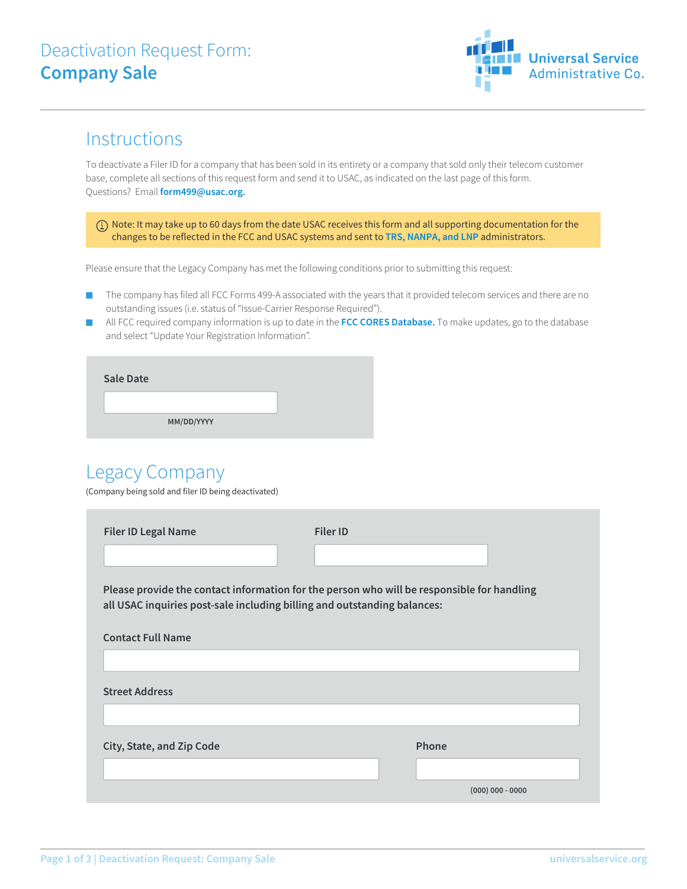

#### **Instructions**

To deactivate a Filer ID for a company that has been sold in its entirety or a company that sold only their telecom customer base, complete all sections of this request form and send it to USAC, as indicated on the last page of this form. Questions? Email **form499@usac.org.**

 $(i)$  Note: It may take up to 60 days from the date USAC receives this form and all supporting documentation for the changes to be reflected in the FCC and USAC systems and sent to **TRS, NANPA, and LNP** administrators.

Please ensure that the Legacy Company has met the following conditions prior to submitting this request:

- The company has filed all FCC Forms 499-A associated with the years that it provided telecom services and there are no outstanding issues (i.e. status of "Issue-Carrier Response Required").
- All FCC required company information is up to date in the **FCC CORES Database.** To make updates, go to the database and select "Update Your Registration Information".

| <b>Sale Date</b> |            |  |
|------------------|------------|--|
|                  |            |  |
|                  | MM/DD/YYYY |  |

### Legacy Company

(Company being sold and filer ID being deactivated)

| <b>Filer ID Legal Name</b>                                                                                                                                             | <b>Filer ID</b>    |  |  |  |
|------------------------------------------------------------------------------------------------------------------------------------------------------------------------|--------------------|--|--|--|
|                                                                                                                                                                        |                    |  |  |  |
| Please provide the contact information for the person who will be responsible for handling<br>all USAC inquiries post-sale including billing and outstanding balances: |                    |  |  |  |
| <b>Contact Full Name</b>                                                                                                                                               |                    |  |  |  |
|                                                                                                                                                                        |                    |  |  |  |
| <b>Street Address</b>                                                                                                                                                  |                    |  |  |  |
|                                                                                                                                                                        |                    |  |  |  |
| City, State, and Zip Code                                                                                                                                              | Phone              |  |  |  |
|                                                                                                                                                                        |                    |  |  |  |
|                                                                                                                                                                        | $(000)$ 000 - 0000 |  |  |  |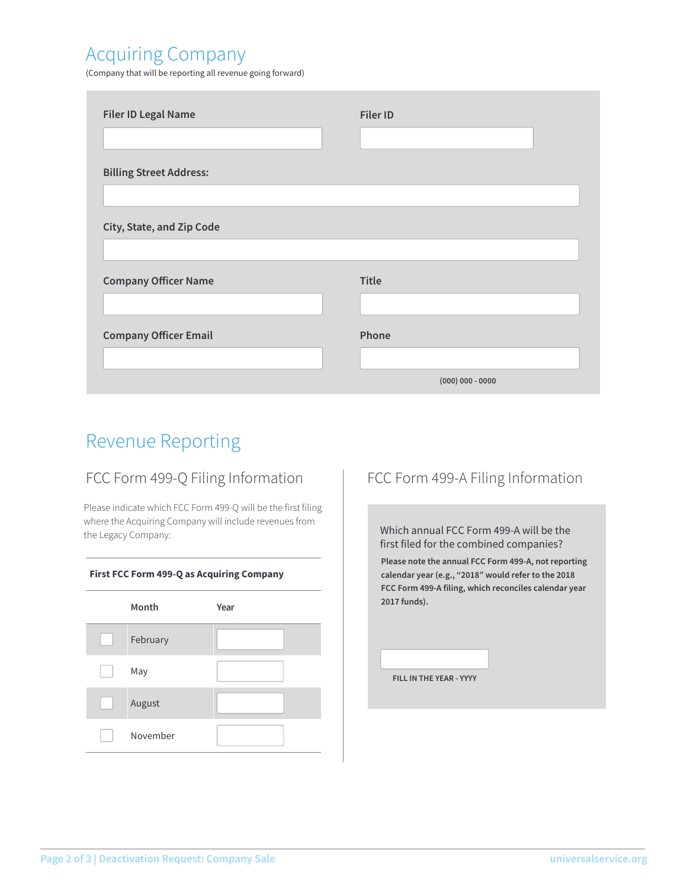# Acquiring Company

(Company that will be reporting all revenue going forward)

| <b>Filer ID Legal Name</b>     | <b>Filer ID</b>    |
|--------------------------------|--------------------|
|                                |                    |
| <b>Billing Street Address:</b> |                    |
|                                |                    |
| City, State, and Zip Code      |                    |
|                                |                    |
| <b>Company Officer Name</b>    | <b>Title</b>       |
| <b>Company Officer Email</b>   | Phone              |
|                                |                    |
|                                | $(000)$ 000 - 0000 |

# Revenue Reporting

#### FCC Form 499-Q Filing Information | FCC Form 499-A Filing Information

Please indicate which FCC Form 499-Q will be the first filing where the Acquiring Company will include revenues from the Legacy Company:



Which annual FCC Form 499-A will be the first filed for the combined companies?

**Please note the annual FCC Form 499-A, not reporting calendar year (e.g., "2018" would refer to the 2018 FCC Form 499-A filing, which reconciles calendar year 2017 funds).**

**FILL IN THE YEAR - YYYY**